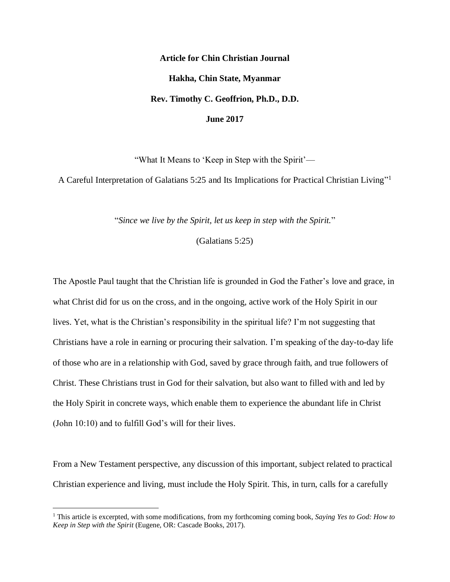# **Article for Chin Christian Journal Hakha, Chin State, Myanmar Rev. Timothy C. Geoffrion, Ph.D., D.D. June 2017**

"What It Means to 'Keep in Step with the Spirit'—

A Careful Interpretation of Galatians 5:25 and Its Implications for Practical Christian Living"<sup>1</sup>

"*Since we live by the Spirit, let us keep in step with the Spirit.*"

(Galatians 5:25)

The Apostle Paul taught that the Christian life is grounded in God the Father's love and grace, in what Christ did for us on the cross, and in the ongoing, active work of the Holy Spirit in our lives. Yet, what is the Christian's responsibility in the spiritual life? I'm not suggesting that Christians have a role in earning or procuring their salvation. I'm speaking of the day-to-day life of those who are in a relationship with God, saved by grace through faith, and true followers of Christ. These Christians trust in God for their salvation, but also want to filled with and led by the Holy Spirit in concrete ways, which enable them to experience the abundant life in Christ (John 10:10) and to fulfill God's will for their lives.

From a New Testament perspective, any discussion of this important, subject related to practical Christian experience and living, must include the Holy Spirit. This, in turn, calls for a carefully

<sup>1</sup> This article is excerpted, with some modifications, from my forthcoming coming book, *Saying Yes to God: How to Keep in Step with the Spirit* (Eugene, OR: Cascade Books, 2017).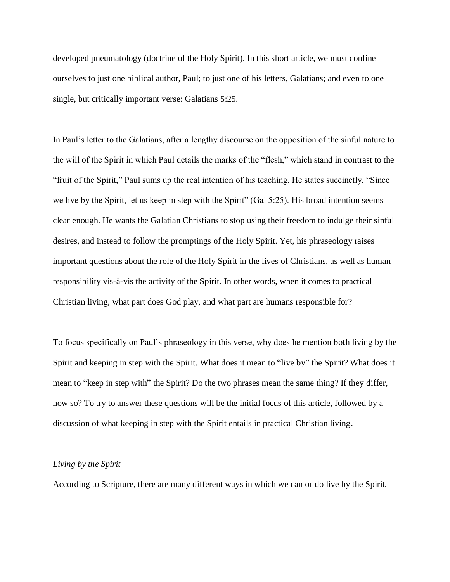developed pneumatology (doctrine of the Holy Spirit). In this short article, we must confine ourselves to just one biblical author, Paul; to just one of his letters, Galatians; and even to one single, but critically important verse: Galatians 5:25.

In Paul's letter to the Galatians, after a lengthy discourse on the opposition of the sinful nature to the will of the Spirit in which Paul details the marks of the "flesh," which stand in contrast to the "fruit of the Spirit," Paul sums up the real intention of his teaching. He states succinctly, "Since we live by the Spirit, let us keep in step with the Spirit" (Gal 5:25). His broad intention seems clear enough. He wants the Galatian Christians to stop using their freedom to indulge their sinful desires, and instead to follow the promptings of the Holy Spirit. Yet, his phraseology raises important questions about the role of the Holy Spirit in the lives of Christians, as well as human responsibility vis-à-vis the activity of the Spirit. In other words, when it comes to practical Christian living, what part does God play, and what part are humans responsible for?

To focus specifically on Paul's phraseology in this verse, why does he mention both living by the Spirit and keeping in step with the Spirit. What does it mean to "live by" the Spirit? What does it mean to "keep in step with" the Spirit? Do the two phrases mean the same thing? If they differ, how so? To try to answer these questions will be the initial focus of this article, followed by a discussion of what keeping in step with the Spirit entails in practical Christian living.

#### *Living by the Spirit*

According to Scripture, there are many different ways in which we can or do live by the Spirit.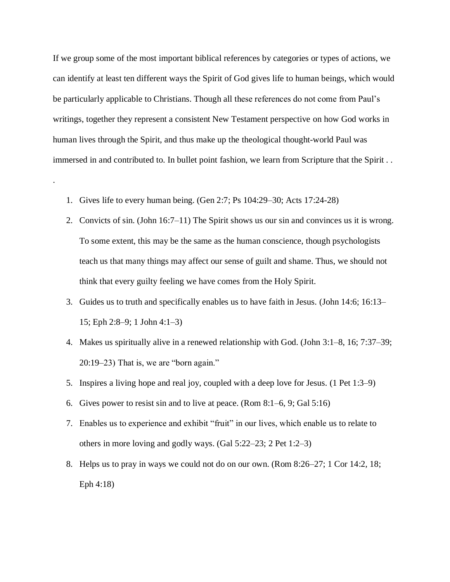If we group some of the most important biblical references by categories or types of actions, we can identify at least ten different ways the Spirit of God gives life to human beings, which would be particularly applicable to Christians. Though all these references do not come from Paul's writings, together they represent a consistent New Testament perspective on how God works in human lives through the Spirit, and thus make up the theological thought-world Paul was immersed in and contributed to. In bullet point fashion, we learn from Scripture that the Spirit...

1. Gives life to every human being. (Gen 2:7; Ps 104:29–30; Acts 17:24-28)

.

- 2. Convicts of sin. (John 16:7–11) The Spirit shows us our sin and convinces us it is wrong. To some extent, this may be the same as the human conscience, though psychologists teach us that many things may affect our sense of guilt and shame. Thus, we should not think that every guilty feeling we have comes from the Holy Spirit.
- 3. Guides us to truth and specifically enables us to have faith in Jesus. (John 14:6; 16:13– 15; Eph 2:8–9; 1 John 4:1–3)
- 4. Makes us spiritually alive in a renewed relationship with God. (John 3:1–8, 16; 7:37–39; 20:19–23) That is, we are "born again."
- 5. Inspires a living hope and real joy, coupled with a deep love for Jesus. (1 Pet 1:3–9)
- 6. Gives power to resist sin and to live at peace. (Rom 8:1–6, 9; Gal 5:16)
- 7. Enables us to experience and exhibit "fruit" in our lives, which enable us to relate to others in more loving and godly ways. (Gal 5:22–23; 2 Pet 1:2–3)
- 8. Helps us to pray in ways we could not do on our own. (Rom 8:26–27; 1 Cor 14:2, 18; Eph 4:18)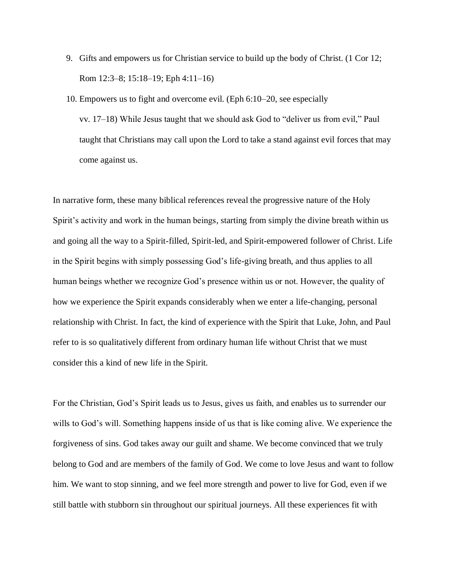- 9. Gifts and empowers us for Christian service to build up the body of Christ. (1 Cor 12; Rom 12:3–8; 15:18–19; Eph 4:11–16)
- 10. Empowers us to fight and overcome evil. (Eph 6:10–20, see especially vv. 17–18) While Jesus taught that we should ask God to "deliver us from evil," Paul taught that Christians may call upon the Lord to take a stand against evil forces that may come against us.

In narrative form, these many biblical references reveal the progressive nature of the Holy Spirit's activity and work in the human beings, starting from simply the divine breath within us and going all the way to a Spirit-filled, Spirit-led, and Spirit-empowered follower of Christ. Life in the Spirit begins with simply possessing God's life-giving breath, and thus applies to all human beings whether we recognize God's presence within us or not. However, the quality of how we experience the Spirit expands considerably when we enter a life-changing, personal relationship with Christ. In fact, the kind of experience with the Spirit that Luke, John, and Paul refer to is so qualitatively different from ordinary human life without Christ that we must consider this a kind of new life in the Spirit.

For the Christian, God's Spirit leads us to Jesus, gives us faith, and enables us to surrender our wills to God's will. Something happens inside of us that is like coming alive. We experience the forgiveness of sins. God takes away our guilt and shame. We become convinced that we truly belong to God and are members of the family of God. We come to love Jesus and want to follow him. We want to stop sinning, and we feel more strength and power to live for God, even if we still battle with stubborn sin throughout our spiritual journeys. All these experiences fit with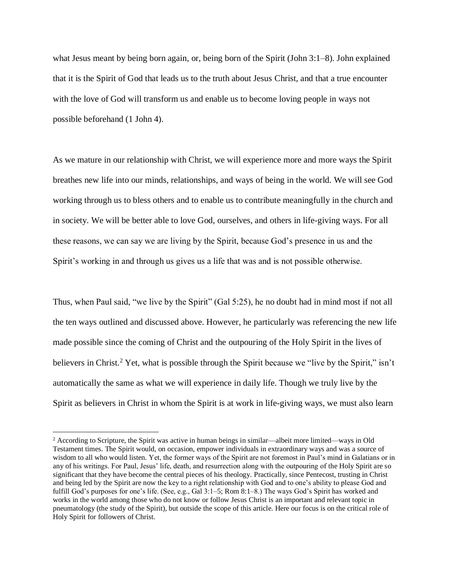what Jesus meant by being born again, or, being born of the Spirit (John 3:1–8). John explained that it is the Spirit of God that leads us to the truth about Jesus Christ, and that a true encounter with the love of God will transform us and enable us to become loving people in ways not possible beforehand (1 John 4).

As we mature in our relationship with Christ, we will experience more and more ways the Spirit breathes new life into our minds, relationships, and ways of being in the world. We will see God working through us to bless others and to enable us to contribute meaningfully in the church and in society. We will be better able to love God, ourselves, and others in life-giving ways. For all these reasons, we can say we are living by the Spirit, because God's presence in us and the Spirit's working in and through us gives us a life that was and is not possible otherwise.

Thus, when Paul said, "we live by the Spirit" (Gal 5:25), he no doubt had in mind most if not all the ten ways outlined and discussed above. However, he particularly was referencing the new life made possible since the coming of Christ and the outpouring of the Holy Spirit in the lives of believers in Christ.<sup>2</sup> Yet, what is possible through the Spirit because we "live by the Spirit," isn't automatically the same as what we will experience in daily life. Though we truly live by the Spirit as believers in Christ in whom the Spirit is at work in life-giving ways, we must also learn

<sup>&</sup>lt;sup>2</sup> According to Scripture, the Spirit was active in human beings in similar—albeit more limited—ways in Old Testament times. The Spirit would, on occasion, empower individuals in extraordinary ways and was a source of wisdom to all who would listen. Yet, the former ways of the Spirit are not foremost in Paul's mind in Galatians or in any of his writings. For Paul, Jesus' life, death, and resurrection along with the outpouring of the Holy Spirit are so significant that they have become the central pieces of his theology. Practically, since Pentecost, trusting in Christ and being led by the Spirit are now the key to a right relationship with God and to one's ability to please God and fulfill God's purposes for one's life. (See, e.g., Gal 3:1–5; Rom 8:1–8.) The ways God's Spirit has worked and works in the world among those who do not know or follow Jesus Christ is an important and relevant topic in pneumatology (the study of the Spirit), but outside the scope of this article. Here our focus is on the critical role of Holy Spirit for followers of Christ.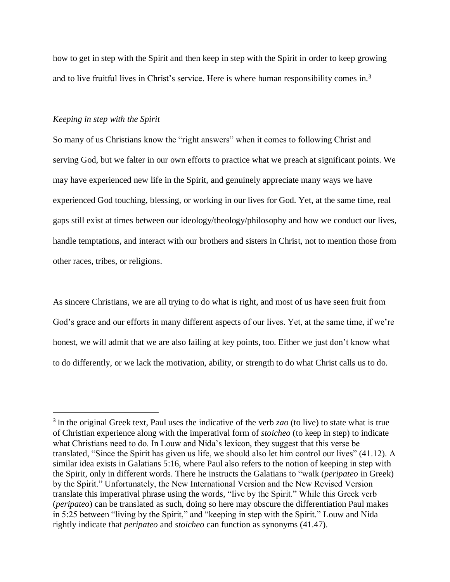how to get in step with the Spirit and then keep in step with the Spirit in order to keep growing and to live fruitful lives in Christ's service. Here is where human responsibility comes in.<sup>3</sup>

## *Keeping in step with the Spirit*

 $\overline{a}$ 

So many of us Christians know the "right answers" when it comes to following Christ and serving God, but we falter in our own efforts to practice what we preach at significant points. We may have experienced new life in the Spirit, and genuinely appreciate many ways we have experienced God touching, blessing, or working in our lives for God. Yet, at the same time, real gaps still exist at times between our ideology/theology/philosophy and how we conduct our lives, handle temptations, and interact with our brothers and sisters in Christ, not to mention those from other races, tribes, or religions.

As sincere Christians, we are all trying to do what is right, and most of us have seen fruit from God's grace and our efforts in many different aspects of our lives. Yet, at the same time, if we're honest, we will admit that we are also failing at key points, too. Either we just don't know what to do differently, or we lack the motivation, ability, or strength to do what Christ calls us to do.

<sup>3</sup> In the original Greek text, Paul uses the indicative of the verb *zao* (to live) to state what is true of Christian experience along with the imperatival form of *stoicheo* (to keep in step) to indicate what Christians need to do. In Louw and Nida's lexicon, they suggest that this verse be translated, "Since the Spirit has given us life, we should also let him control our lives" (41.12). A similar idea exists in Galatians 5:16, where Paul also refers to the notion of keeping in step with the Spirit, only in different words. There he instructs the Galatians to "walk (*peripateo* in Greek) by the Spirit." Unfortunately, the New International Version and the New Revised Version translate this imperatival phrase using the words, "live by the Spirit." While this Greek verb (*peripateo*) can be translated as such, doing so here may obscure the differentiation Paul makes in 5:25 between "living by the Spirit," and "keeping in step with the Spirit." Louw and Nida rightly indicate that *peripateo* and *stoicheo* can function as synonyms (41.47).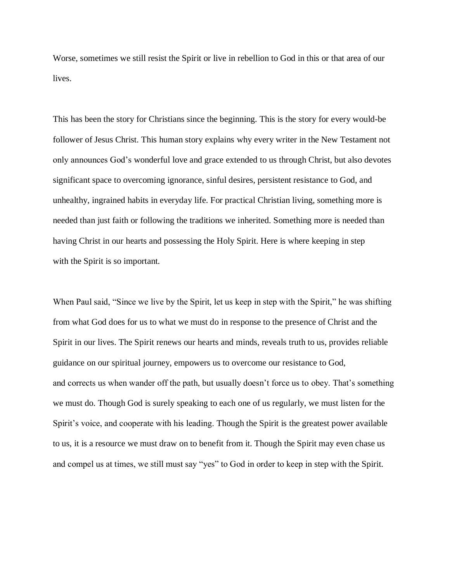Worse, sometimes we still resist the Spirit or live in rebellion to God in this or that area of our lives.

This has been the story for Christians since the beginning. This is the story for every would-be follower of Jesus Christ. This human story explains why every writer in the New Testament not only announces God's wonderful love and grace extended to us through Christ, but also devotes significant space to overcoming ignorance, sinful desires, persistent resistance to God, and unhealthy, ingrained habits in everyday life. For practical Christian living, something more is needed than just faith or following the traditions we inherited. Something more is needed than having Christ in our hearts and possessing the Holy Spirit. Here is where keeping in step with the Spirit is so important.

When Paul said, "Since we live by the Spirit, let us keep in step with the Spirit," he was shifting from what God does for us to what we must do in response to the presence of Christ and the Spirit in our lives. The Spirit renews our hearts and minds, reveals truth to us, provides reliable guidance on our spiritual journey, empowers us to overcome our resistance to God, and corrects us when wander off the path, but usually doesn't force us to obey. That's something we must do. Though God is surely speaking to each one of us regularly, we must listen for the Spirit's voice, and cooperate with his leading. Though the Spirit is the greatest power available to us, it is a resource we must draw on to benefit from it. Though the Spirit may even chase us and compel us at times, we still must say "yes" to God in order to keep in step with the Spirit.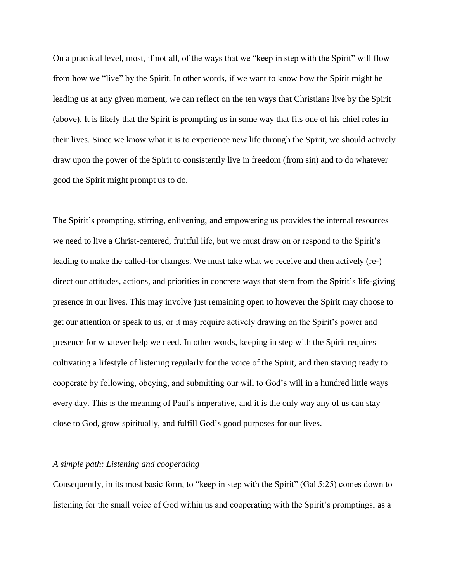On a practical level, most, if not all, of the ways that we "keep in step with the Spirit" will flow from how we "live" by the Spirit. In other words, if we want to know how the Spirit might be leading us at any given moment, we can reflect on the ten ways that Christians live by the Spirit (above). It is likely that the Spirit is prompting us in some way that fits one of his chief roles in their lives. Since we know what it is to experience new life through the Spirit, we should actively draw upon the power of the Spirit to consistently live in freedom (from sin) and to do whatever good the Spirit might prompt us to do.

The Spirit's prompting, stirring, enlivening, and empowering us provides the internal resources we need to live a Christ-centered, fruitful life, but we must draw on or respond to the Spirit's leading to make the called-for changes. We must take what we receive and then actively (re-) direct our attitudes, actions, and priorities in concrete ways that stem from the Spirit's life-giving presence in our lives. This may involve just remaining open to however the Spirit may choose to get our attention or speak to us, or it may require actively drawing on the Spirit's power and presence for whatever help we need. In other words, keeping in step with the Spirit requires cultivating a lifestyle of listening regularly for the voice of the Spirit, and then staying ready to cooperate by following, obeying, and submitting our will to God's will in a hundred little ways every day. This is the meaning of Paul's imperative, and it is the only way any of us can stay close to God, grow spiritually, and fulfill God's good purposes for our lives.

## *A simple path: Listening and cooperating*

Consequently, in its most basic form, to "keep in step with the Spirit" (Gal 5:25) comes down to listening for the small voice of God within us and cooperating with the Spirit's promptings, as a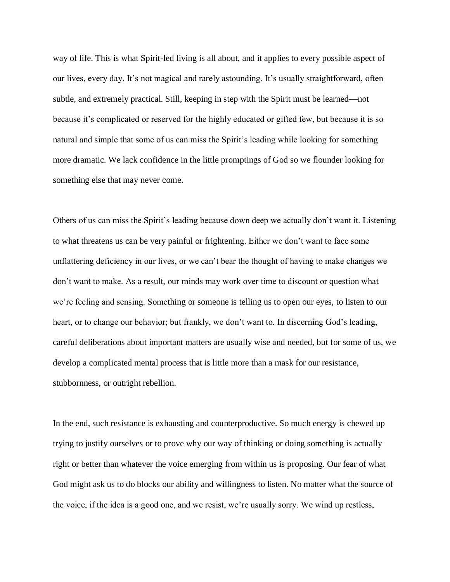way of life. This is what Spirit-led living is all about, and it applies to every possible aspect of our lives, every day. It's not magical and rarely astounding. It's usually straightforward, often subtle, and extremely practical. Still, keeping in step with the Spirit must be learned—not because it's complicated or reserved for the highly educated or gifted few, but because it is so natural and simple that some of us can miss the Spirit's leading while looking for something more dramatic. We lack confidence in the little promptings of God so we flounder looking for something else that may never come.

Others of us can miss the Spirit's leading because down deep we actually don't want it. Listening to what threatens us can be very painful or frightening. Either we don't want to face some unflattering deficiency in our lives, or we can't bear the thought of having to make changes we don't want to make. As a result, our minds may work over time to discount or question what we're feeling and sensing. Something or someone is telling us to open our eyes, to listen to our heart, or to change our behavior; but frankly, we don't want to. In discerning God's leading, careful deliberations about important matters are usually wise and needed, but for some of us, we develop a complicated mental process that is little more than a mask for our resistance, stubbornness, or outright rebellion.

In the end, such resistance is exhausting and counterproductive. So much energy is chewed up trying to justify ourselves or to prove why our way of thinking or doing something is actually right or better than whatever the voice emerging from within us is proposing. Our fear of what God might ask us to do blocks our ability and willingness to listen. No matter what the source of the voice, if the idea is a good one, and we resist, we're usually sorry. We wind up restless,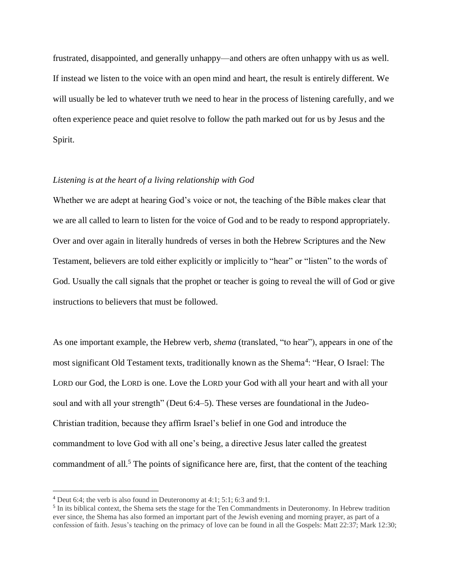frustrated, disappointed, and generally unhappy—and others are often unhappy with us as well. If instead we listen to the voice with an open mind and heart, the result is entirely different. We will usually be led to whatever truth we need to hear in the process of listening carefully, and we often experience peace and quiet resolve to follow the path marked out for us by Jesus and the Spirit.

# *Listening is at the heart of a living relationship with God*

Whether we are adept at hearing God's voice or not, the teaching of the Bible makes clear that we are all called to learn to listen for the voice of God and to be ready to respond appropriately. Over and over again in literally hundreds of verses in both the Hebrew Scriptures and the New Testament, believers are told either explicitly or implicitly to "hear" or "listen" to the words of God. Usually the call signals that the prophet or teacher is going to reveal the will of God or give instructions to believers that must be followed.

As one important example, the Hebrew verb, *shema* (translated, "to hear"), appears in one of the most significant Old Testament texts, traditionally known as the Shema<sup>4</sup>: "Hear, O Israel: The LORD our God, the LORD is one. Love the LORD your God with all your heart and with all your soul and with all your strength" (Deut 6:4–5). These verses are foundational in the Judeo-Christian tradition, because they affirm Israel's belief in one God and introduce the commandment to love God with all one's being, a directive Jesus later called the greatest commandment of all.<sup>5</sup> The points of significance here are, first, that the content of the teaching

<sup>4</sup> Deut 6:4; the verb is also found in Deuteronomy at 4:1; 5:1; 6:3 and 9:1.

<sup>&</sup>lt;sup>5</sup> In its biblical context, the Shema sets the stage for the Ten Commandments in Deuteronomy. In Hebrew tradition ever since, the Shema has also formed an important part of the Jewish evening and morning prayer, as part of a confession of faith. Jesus's teaching on the primacy of love can be found in all the Gospels: Matt 22:37; Mark 12:30;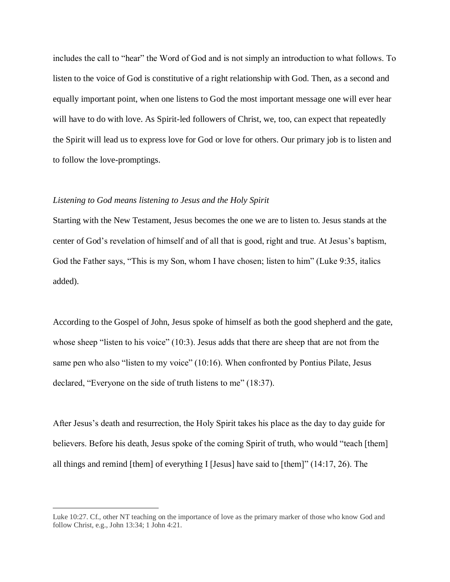includes the call to "hear" the Word of God and is not simply an introduction to what follows. To listen to the voice of God is constitutive of a right relationship with God. Then, as a second and equally important point, when one listens to God the most important message one will ever hear will have to do with love. As Spirit-led followers of Christ, we, too, can expect that repeatedly the Spirit will lead us to express love for God or love for others. Our primary job is to listen and to follow the love-promptings.

## *Listening to God means listening to Jesus and the Holy Spirit*

Starting with the New Testament, Jesus becomes the one we are to listen to. Jesus stands at the center of God's revelation of himself and of all that is good, right and true. At Jesus's baptism, God the Father says, "This is my Son, whom I have chosen; listen to him" (Luke 9:35, italics added).

According to the Gospel of John, Jesus spoke of himself as both the good shepherd and the gate, whose sheep "listen to his voice" (10:3). Jesus adds that there are sheep that are not from the same pen who also "listen to my voice" (10:16). When confronted by Pontius Pilate, Jesus declared, "Everyone on the side of truth listens to me" (18:37).

After Jesus's death and resurrection, the Holy Spirit takes his place as the day to day guide for believers. Before his death, Jesus spoke of the coming Spirit of truth, who would "teach [them] all things and remind [them] of everything I [Jesus] have said to [them]" (14:17, 26). The

Luke 10:27. Cf., other NT teaching on the importance of love as the primary marker of those who know God and follow Christ, e.g., John 13:34; 1 John 4:21.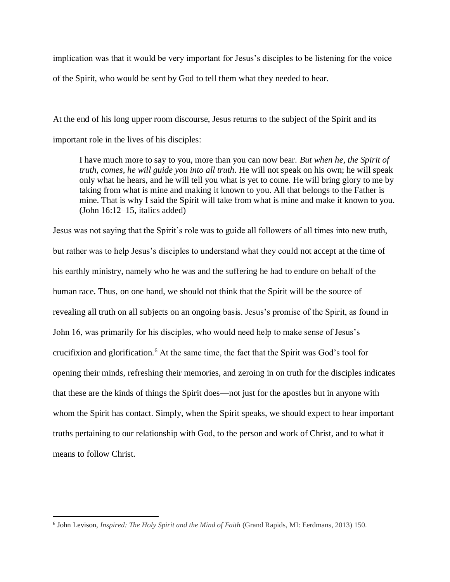implication was that it would be very important for Jesus's disciples to be listening for the voice of the Spirit, who would be sent by God to tell them what they needed to hear.

At the end of his long upper room discourse, Jesus returns to the subject of the Spirit and its important role in the lives of his disciples:

I have much more to say to you, more than you can now bear. *But when he, the Spirit of truth, comes, he will guide you into all truth*. He will not speak on his own; he will speak only what he hears, and he will tell you what is yet to come. He will bring glory to me by taking from what is mine and making it known to you. All that belongs to the Father is mine. That is why I said the Spirit will take from what is mine and make it known to you. (John 16:12–15, italics added)

Jesus was not saying that the Spirit's role was to guide all followers of all times into new truth, but rather was to help Jesus's disciples to understand what they could not accept at the time of his earthly ministry, namely who he was and the suffering he had to endure on behalf of the human race. Thus, on one hand, we should not think that the Spirit will be the source of revealing all truth on all subjects on an ongoing basis. Jesus's promise of the Spirit, as found in John 16, was primarily for his disciples, who would need help to make sense of Jesus's crucifixion and glorification.<sup>6</sup> At the same time, the fact that the Spirit was God's tool for opening their minds, refreshing their memories, and zeroing in on truth for the disciples indicates that these are the kinds of things the Spirit does—not just for the apostles but in anyone with whom the Spirit has contact. Simply, when the Spirit speaks, we should expect to hear important truths pertaining to our relationship with God, to the person and work of Christ, and to what it means to follow Christ.

<sup>6</sup> John Levison, *Inspired: The Holy Spirit and the Mind of Faith* (Grand Rapids, MI: Eerdmans, 2013) 150.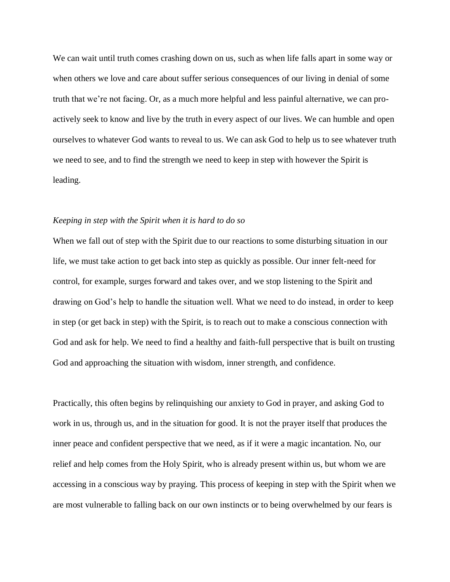We can wait until truth comes crashing down on us, such as when life falls apart in some way or when others we love and care about suffer serious consequences of our living in denial of some truth that we're not facing. Or, as a much more helpful and less painful alternative, we can proactively seek to know and live by the truth in every aspect of our lives. We can humble and open ourselves to whatever God wants to reveal to us. We can ask God to help us to see whatever truth we need to see, and to find the strength we need to keep in step with however the Spirit is leading.

# *Keeping in step with the Spirit when it is hard to do so*

When we fall out of step with the Spirit due to our reactions to some disturbing situation in our life, we must take action to get back into step as quickly as possible. Our inner felt-need for control, for example, surges forward and takes over, and we stop listening to the Spirit and drawing on God's help to handle the situation well. What we need to do instead, in order to keep in step (or get back in step) with the Spirit, is to reach out to make a conscious connection with God and ask for help. We need to find a healthy and faith-full perspective that is built on trusting God and approaching the situation with wisdom, inner strength, and confidence.

Practically, this often begins by relinquishing our anxiety to God in prayer, and asking God to work in us, through us, and in the situation for good. It is not the prayer itself that produces the inner peace and confident perspective that we need, as if it were a magic incantation. No, our relief and help comes from the Holy Spirit, who is already present within us, but whom we are accessing in a conscious way by praying. This process of keeping in step with the Spirit when we are most vulnerable to falling back on our own instincts or to being overwhelmed by our fears is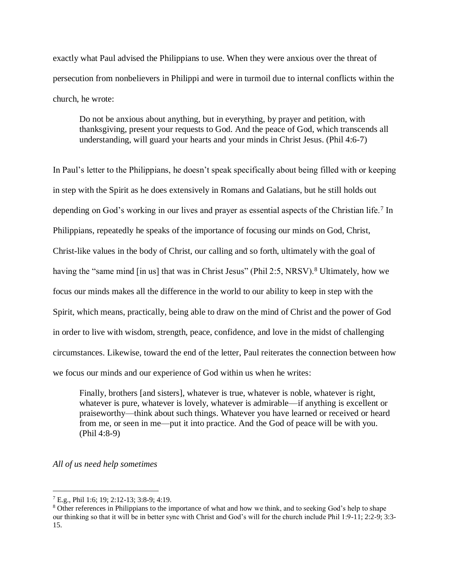exactly what Paul advised the Philippians to use. When they were anxious over the threat of persecution from nonbelievers in Philippi and were in turmoil due to internal conflicts within the church, he wrote:

Do not be anxious about anything, but in everything, by prayer and petition, with thanksgiving, present your requests to God. And the peace of God, which transcends all understanding, will guard your hearts and your minds in Christ Jesus. (Phil 4:6-7)

In Paul's letter to the Philippians, he doesn't speak specifically about being filled with or keeping in step with the Spirit as he does extensively in Romans and Galatians, but he still holds out depending on God's working in our lives and prayer as essential aspects of the Christian life.<sup>7</sup> In Philippians, repeatedly he speaks of the importance of focusing our minds on God, Christ, Christ-like values in the body of Christ, our calling and so forth, ultimately with the goal of having the "same mind [in us] that was in Christ Jesus" (Phil 2:5, NRSV).<sup>8</sup> Ultimately, how we focus our minds makes all the difference in the world to our ability to keep in step with the Spirit, which means, practically, being able to draw on the mind of Christ and the power of God in order to live with wisdom, strength, peace, confidence, and love in the midst of challenging circumstances. Likewise, toward the end of the letter, Paul reiterates the connection between how we focus our minds and our experience of God within us when he writes:

Finally, brothers [and sisters], whatever is true, whatever is noble, whatever is right, whatever is pure, whatever is lovely, whatever is admirable—if anything is excellent or praiseworthy—think about such things. Whatever you have learned or received or heard from me, or seen in me—put it into practice. And the God of peace will be with you. (Phil 4:8-9)

*All of us need help sometimes*

<sup>7</sup> E.g., Phil 1:6; 19; 2:12-13; 3:8-9; 4:19.

<sup>&</sup>lt;sup>8</sup> Other references in Philippians to the importance of what and how we think, and to seeking God's help to shape our thinking so that it will be in better sync with Christ and God's will for the church include Phil 1:9-11; 2:2-9; 3:3- 15.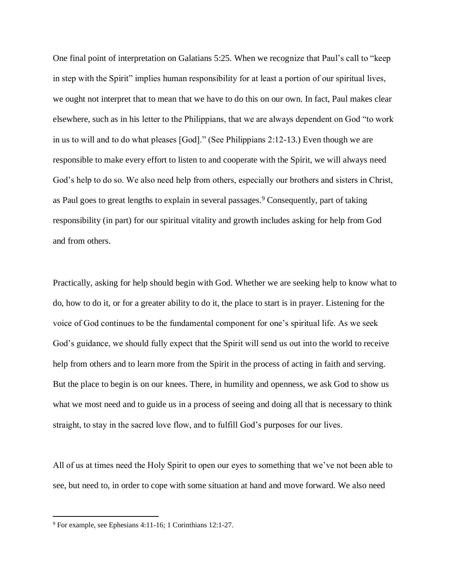One final point of interpretation on Galatians 5:25. When we recognize that Paul's call to "keep in step with the Spirit" implies human responsibility for at least a portion of our spiritual lives, we ought not interpret that to mean that we have to do this on our own. In fact, Paul makes clear elsewhere, such as in his letter to the Philippians, that we are always dependent on God "to work in us to will and to do what pleases [God]." (See Philippians 2:12-13.) Even though we are responsible to make every effort to listen to and cooperate with the Spirit, we will always need God's help to do so. We also need help from others, especially our brothers and sisters in Christ, as Paul goes to great lengths to explain in several passages.<sup>9</sup> Consequently, part of taking responsibility (in part) for our spiritual vitality and growth includes asking for help from God and from others.

Practically, asking for help should begin with God. Whether we are seeking help to know what to do, how to do it, or for a greater ability to do it, the place to start is in prayer. Listening for the voice of God continues to be the fundamental component for one's spiritual life. As we seek God's guidance, we should fully expect that the Spirit will send us out into the world to receive help from others and to learn more from the Spirit in the process of acting in faith and serving. But the place to begin is on our knees. There, in humility and openness, we ask God to show us what we most need and to guide us in a process of seeing and doing all that is necessary to think straight, to stay in the sacred love flow, and to fulfill God's purposes for our lives.

All of us at times need the Holy Spirit to open our eyes to something that we've not been able to see, but need to, in order to cope with some situation at hand and move forward. We also need

<sup>9</sup> For example, see Ephesians 4:11-16; 1 Corinthians 12:1-27.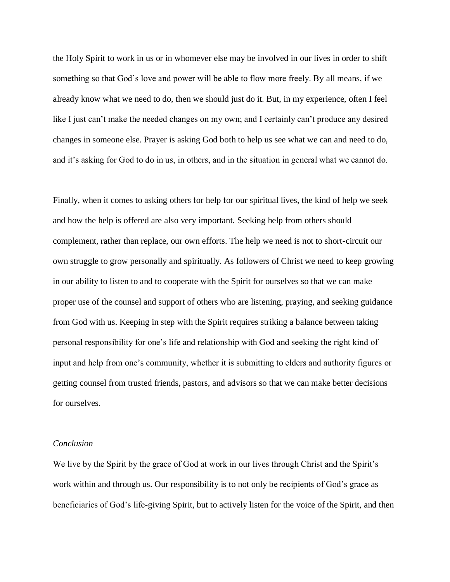the Holy Spirit to work in us or in whomever else may be involved in our lives in order to shift something so that God's love and power will be able to flow more freely. By all means, if we already know what we need to do, then we should just do it. But, in my experience, often I feel like I just can't make the needed changes on my own; and I certainly can't produce any desired changes in someone else. Prayer is asking God both to help us see what we can and need to do, and it's asking for God to do in us, in others, and in the situation in general what we cannot do.

Finally, when it comes to asking others for help for our spiritual lives, the kind of help we seek and how the help is offered are also very important. Seeking help from others should complement, rather than replace, our own efforts. The help we need is not to short-circuit our own struggle to grow personally and spiritually. As followers of Christ we need to keep growing in our ability to listen to and to cooperate with the Spirit for ourselves so that we can make proper use of the counsel and support of others who are listening, praying, and seeking guidance from God with us. Keeping in step with the Spirit requires striking a balance between taking personal responsibility for one's life and relationship with God and seeking the right kind of input and help from one's community, whether it is submitting to elders and authority figures or getting counsel from trusted friends, pastors, and advisors so that we can make better decisions for ourselves.

#### *Conclusion*

We live by the Spirit by the grace of God at work in our lives through Christ and the Spirit's work within and through us. Our responsibility is to not only be recipients of God's grace as beneficiaries of God's life-giving Spirit, but to actively listen for the voice of the Spirit, and then